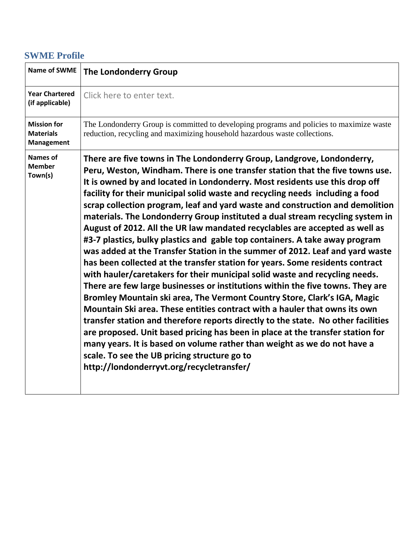### **SWME Profile**

| <b>Name of SWME</b>                                         | <b>The Londonderry Group</b>                                                                                                                                                                                                                                                                                                                                                                                                                                                                                                                                                                                                                                                                                                                                                                                                                                                                                                                                                                                                                                                                                                                                                                                                                                                                                                                                                                                                                                                                        |
|-------------------------------------------------------------|-----------------------------------------------------------------------------------------------------------------------------------------------------------------------------------------------------------------------------------------------------------------------------------------------------------------------------------------------------------------------------------------------------------------------------------------------------------------------------------------------------------------------------------------------------------------------------------------------------------------------------------------------------------------------------------------------------------------------------------------------------------------------------------------------------------------------------------------------------------------------------------------------------------------------------------------------------------------------------------------------------------------------------------------------------------------------------------------------------------------------------------------------------------------------------------------------------------------------------------------------------------------------------------------------------------------------------------------------------------------------------------------------------------------------------------------------------------------------------------------------------|
| <b>Year Chartered</b><br>(if applicable)                    | Click here to enter text.                                                                                                                                                                                                                                                                                                                                                                                                                                                                                                                                                                                                                                                                                                                                                                                                                                                                                                                                                                                                                                                                                                                                                                                                                                                                                                                                                                                                                                                                           |
| <b>Mission for</b><br><b>Materials</b><br><b>Management</b> | The Londonderry Group is committed to developing programs and policies to maximize waste<br>reduction, recycling and maximizing household hazardous waste collections.                                                                                                                                                                                                                                                                                                                                                                                                                                                                                                                                                                                                                                                                                                                                                                                                                                                                                                                                                                                                                                                                                                                                                                                                                                                                                                                              |
| <b>Names of</b><br><b>Member</b><br>Town(s)                 | There are five towns in The Londonderry Group, Landgrove, Londonderry,<br>Peru, Weston, Windham. There is one transfer station that the five towns use.<br>It is owned by and located in Londonderry. Most residents use this drop off<br>facility for their municipal solid waste and recycling needs including a food<br>scrap collection program, leaf and yard waste and construction and demolition<br>materials. The Londonderry Group instituted a dual stream recycling system in<br>August of 2012. All the UR law mandated recyclables are accepted as well as<br>#3-7 plastics, bulky plastics and gable top containers. A take away program<br>was added at the Transfer Station in the summer of 2012. Leaf and yard waste<br>has been collected at the transfer station for years. Some residents contract<br>with hauler/caretakers for their municipal solid waste and recycling needs.<br>There are few large businesses or institutions within the five towns. They are<br>Bromley Mountain ski area, The Vermont Country Store, Clark's IGA, Magic<br>Mountain Ski area. These entities contract with a hauler that owns its own<br>transfer station and therefore reports directly to the state. No other facilities<br>are proposed. Unit based pricing has been in place at the transfer station for<br>many years. It is based on volume rather than weight as we do not have a<br>scale. To see the UB pricing structure go to<br>http://londonderryvt.org/recycletransfer/ |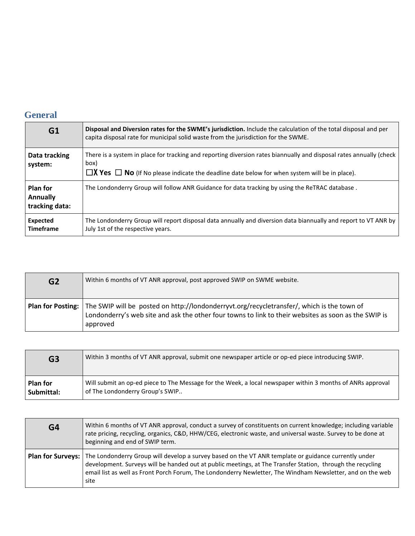### **General**

| G1                                                   | Disposal and Diversion rates for the SWME's jurisdiction. Include the calculation of the total disposal and per<br>capita disposal rate for municipal solid waste from the jurisdiction for the SWME.                                   |
|------------------------------------------------------|-----------------------------------------------------------------------------------------------------------------------------------------------------------------------------------------------------------------------------------------|
| Data tracking<br>system:                             | There is a system in place for tracking and reporting diversion rates biannually and disposal rates annually (check<br>box)<br>$\Box X$ Yes $\Box$ No (If No please indicate the deadline date below for when system will be in place). |
| <b>Plan for</b><br><b>Annually</b><br>tracking data: | The Londonderry Group will follow ANR Guidance for data tracking by using the ReTRAC database.                                                                                                                                          |
| <b>Expected</b><br><b>Timeframe</b>                  | The Londonderry Group will report disposal data annually and diversion data biannually and report to VT ANR by<br>July 1st of the respective years.                                                                                     |

| G <sub>2</sub> | Within 6 months of VT ANR approval, post approved SWIP on SWME website.                                                                                                                                                            |
|----------------|------------------------------------------------------------------------------------------------------------------------------------------------------------------------------------------------------------------------------------|
|                | Plan for Posting:   The SWIP will be posted on http://londonderryvt.org/recycletransfer/, which is the town of<br>Londonderry's web site and ask the other four towns to link to their websites as soon as the SWIP is<br>approved |

| G3              | Within 3 months of VT ANR approval, submit one newspaper article or op-ed piece introducing SWIP.          |
|-----------------|------------------------------------------------------------------------------------------------------------|
| <b>Plan for</b> | Will submit an op-ed piece to The Message for the Week, a local newspaper within 3 months of ANRs approval |
| Submittal:      | of The Londonderry Group's SWIP                                                                            |

| G4 | Within 6 months of VT ANR approval, conduct a survey of constituents on current knowledge; including variable<br>rate pricing, recycling, organics, C&D, HHW/CEG, electronic waste, and universal waste. Survey to be done at<br>beginning and end of SWIP term.                                                                                             |
|----|--------------------------------------------------------------------------------------------------------------------------------------------------------------------------------------------------------------------------------------------------------------------------------------------------------------------------------------------------------------|
|    | Plan for Surveys:   The Londonderry Group will develop a survey based on the VT ANR template or guidance currently under<br>development. Surveys will be handed out at public meetings, at The Transfer Station, through the recycling<br>email list as well as Front Porch Forum, The Londonderry Newletter, The Windham Newsletter, and on the web<br>site |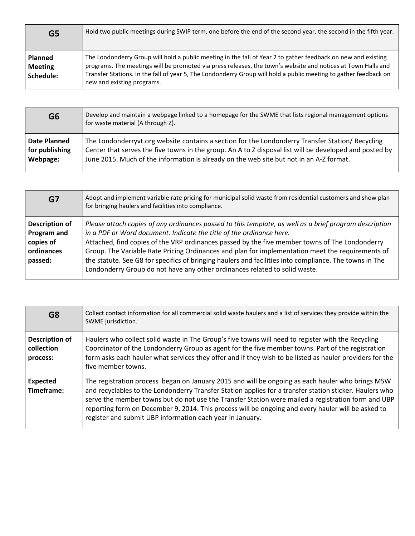| G5                                            | Hold two public meetings during SWIP term, one before the end of the second year, the second in the fifth year.                                                                                                                                                                                                                                                                 |
|-----------------------------------------------|---------------------------------------------------------------------------------------------------------------------------------------------------------------------------------------------------------------------------------------------------------------------------------------------------------------------------------------------------------------------------------|
| <b>Planned</b><br><b>Meeting</b><br>Schedule: | The Londonderry Group will hold a public meeting in the fall of Year 2 to gather feedback on new and existing<br>programs. The meetings will be promoted via press releases, the town's website and notices at Town Halls and<br>Transfer Stations. In the fall of year 5, The Londonderry Group will hold a public meeting to gather feedback on<br>new and existing programs. |

| G <sub>6</sub>      | Develop and maintain a webpage linked to a homepage for the SWME that lists regional management options<br>for waste material (A through Z). |
|---------------------|----------------------------------------------------------------------------------------------------------------------------------------------|
| <b>Date Planned</b> | The Londonderryvt.org website contains a section for the Londonderry Transfer Station/ Recycling                                             |
| for publishing      | Center that serves the five towns in the group. An A to Z disposal list will be developed and posted by                                      |
| Webpage:            | June 2015. Much of the information is already on the web site but not in an A-Z format.                                                      |

| G7                                                                         | Adopt and implement variable rate pricing for municipal solid waste from residential customers and show plan<br>for bringing haulers and facilities into compliance.                                                                                                                                                                                                                                                                                                                                                                                                         |
|----------------------------------------------------------------------------|------------------------------------------------------------------------------------------------------------------------------------------------------------------------------------------------------------------------------------------------------------------------------------------------------------------------------------------------------------------------------------------------------------------------------------------------------------------------------------------------------------------------------------------------------------------------------|
| <b>Description of</b><br>Program and<br>copies of<br>ordinances<br>passed: | Please attach copies of any ordinances passed to this template, as well as a brief program description<br>in a PDF or Word document. Indicate the title of the ordinance here.<br>Attached, find copies of the VRP ordinances passed by the five member towns of The Londonderry<br>Group. The Variable Rate Pricing Ordinances and plan for implementation meet the requirements of<br>the statute. See G8 for specifics of bringing haulers and facilities into compliance. The towns in The<br>Londonderry Group do not have any other ordinances related to solid waste. |

| G <sub>8</sub>                                  | Collect contact information for all commercial solid waste haulers and a list of services they provide within the<br>SWME jurisdiction.                                                                                                                                                                                                                                                                                                                                              |
|-------------------------------------------------|--------------------------------------------------------------------------------------------------------------------------------------------------------------------------------------------------------------------------------------------------------------------------------------------------------------------------------------------------------------------------------------------------------------------------------------------------------------------------------------|
| <b>Description of</b><br>collection<br>process: | Haulers who collect solid waste in The Group's five towns will need to register with the Recycling<br>Coordinator of the Londonderry Group as agent for the five member towns. Part of the registration<br>form asks each hauler what services they offer and if they wish to be listed as hauler providers for the<br>five member towns.                                                                                                                                            |
| <b>Expected</b><br>Timeframe:                   | The registration process began on January 2015 and will be ongoing as each hauler who brings MSW<br>and recyclables to the Londonderry Transfer Station applies for a transfer station sticker. Haulers who<br>serve the member towns but do not use the Transfer Station were mailed a registration form and UBP<br>reporting form on December 9, 2014. This process will be ongoing and every hauler will be asked to<br>register and submit UBP information each year in January. |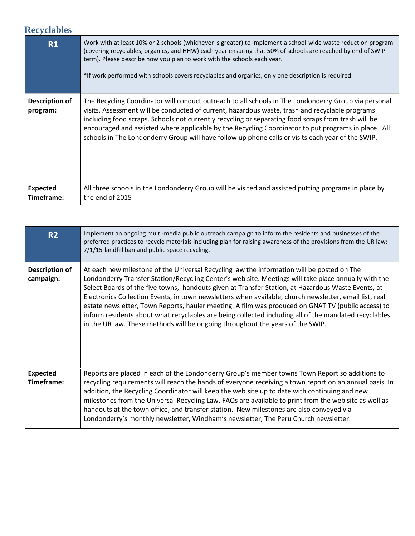### **Recyclables**

| R1                            | Work with at least 10% or 2 schools (whichever is greater) to implement a school-wide waste reduction program<br>(covering recyclables, organics, and HHW) each year ensuring that 50% of schools are reached by end of SWIP<br>term). Please describe how you plan to work with the schools each year.<br>*If work performed with schools covers recyclables and organics, only one description is required.                                                                                                              |
|-------------------------------|----------------------------------------------------------------------------------------------------------------------------------------------------------------------------------------------------------------------------------------------------------------------------------------------------------------------------------------------------------------------------------------------------------------------------------------------------------------------------------------------------------------------------|
| Description of<br>program:    | The Recycling Coordinator will conduct outreach to all schools in The Londonderry Group via personal<br>visits. Assessment will be conducted of current, hazardous waste, trash and recyclable programs<br>including food scraps. Schools not currently recycling or separating food scraps from trash will be<br>encouraged and assisted where applicable by the Recycling Coordinator to put programs in place. All<br>schools in The Londonderry Group will have follow up phone calls or visits each year of the SWIP. |
| <b>Expected</b><br>Timeframe: | All three schools in the Londonderry Group will be visited and assisted putting programs in place by<br>the end of 2015                                                                                                                                                                                                                                                                                                                                                                                                    |

| R <sub>2</sub>                | Implement an ongoing multi-media public outreach campaign to inform the residents and businesses of the<br>preferred practices to recycle materials including plan for raising awareness of the provisions from the UR law:<br>7/1/15-landfill ban and public space recycling.                                                                                                                                                                                                                                                                                                                                                                                                                                      |
|-------------------------------|---------------------------------------------------------------------------------------------------------------------------------------------------------------------------------------------------------------------------------------------------------------------------------------------------------------------------------------------------------------------------------------------------------------------------------------------------------------------------------------------------------------------------------------------------------------------------------------------------------------------------------------------------------------------------------------------------------------------|
| Description of<br>campaign:   | At each new milestone of the Universal Recycling law the information will be posted on The<br>Londonderry Transfer Station/Recycling Center's web site. Meetings will take place annually with the<br>Select Boards of the five towns, handouts given at Transfer Station, at Hazardous Waste Events, at<br>Electronics Collection Events, in town newsletters when available, church newsletter, email list, real<br>estate newsletter, Town Reports, hauler meeting. A film was produced on GNAT TV (public access) to<br>inform residents about what recyclables are being collected including all of the mandated recyclables<br>in the UR law. These methods will be ongoing throughout the years of the SWIP. |
| <b>Expected</b><br>Timeframe: | Reports are placed in each of the Londonderry Group's member towns Town Report so additions to<br>recycling requirements will reach the hands of everyone receiving a town report on an annual basis. In<br>addition, the Recycling Coordinator will keep the web site up to date with continuing and new<br>milestones from the Universal Recycling Law. FAQs are available to print from the web site as well as<br>handouts at the town office, and transfer station. New milestones are also conveyed via<br>Londonderry's monthly newsletter, Windham's newsletter, The Peru Church newsletter.                                                                                                                |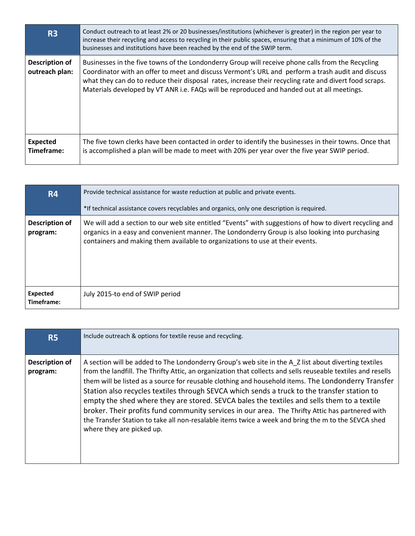| R <sub>3</sub>                   | Conduct outreach to at least 2% or 20 businesses/institutions (whichever is greater) in the region per year to<br>increase their recycling and access to recycling in their public spaces, ensuring that a minimum of 10% of the<br>businesses and institutions have been reached by the end of the SWIP term.                                                                                                 |
|----------------------------------|----------------------------------------------------------------------------------------------------------------------------------------------------------------------------------------------------------------------------------------------------------------------------------------------------------------------------------------------------------------------------------------------------------------|
| Description of<br>outreach plan: | Businesses in the five towns of the Londonderry Group will receive phone calls from the Recycling<br>Coordinator with an offer to meet and discuss Vermont's URL and perform a trash audit and discuss<br>what they can do to reduce their disposal rates, increase their recycling rate and divert food scraps.<br>Materials developed by VT ANR i.e. FAQs will be reproduced and handed out at all meetings. |
| <b>Expected</b><br>Timeframe:    | The five town clerks have been contacted in order to identify the businesses in their towns. Once that<br>is accomplished a plan will be made to meet with 20% per year over the five year SWIP period.                                                                                                                                                                                                        |

| <b>R4</b>                         | Provide technical assistance for waste reduction at public and private events.                                                                                                                                                                                                              |
|-----------------------------------|---------------------------------------------------------------------------------------------------------------------------------------------------------------------------------------------------------------------------------------------------------------------------------------------|
|                                   | *If technical assistance covers recyclables and organics, only one description is required.                                                                                                                                                                                                 |
| <b>Description of</b><br>program: | We will add a section to our web site entitled "Events" with suggestions of how to divert recycling and<br>organics in a easy and convenient manner. The Londonderry Group is also looking into purchasing<br>containers and making them available to organizations to use at their events. |
| <b>Expected</b><br>Timeframe:     | July 2015-to end of SWIP period                                                                                                                                                                                                                                                             |

| <b>R5</b>                         | Include outreach & options for textile reuse and recycling.                                                                                                                                                                                                                                                                                                                                                                                                                                                                                                                                                                                                                                                                                                     |
|-----------------------------------|-----------------------------------------------------------------------------------------------------------------------------------------------------------------------------------------------------------------------------------------------------------------------------------------------------------------------------------------------------------------------------------------------------------------------------------------------------------------------------------------------------------------------------------------------------------------------------------------------------------------------------------------------------------------------------------------------------------------------------------------------------------------|
| <b>Description of</b><br>program: | A section will be added to The Londonderry Group's web site in the A Z list about diverting textiles<br>from the landfill. The Thrifty Attic, an organization that collects and sells reuseable textiles and resells<br>them will be listed as a source for reusable clothing and household items. The Londonderry Transfer<br>Station also recycles textiles through SEVCA which sends a truck to the transfer station to<br>empty the shed where they are stored. SEVCA bales the textiles and sells them to a textile<br>broker. Their profits fund community services in our area. The Thrifty Attic has partnered with<br>the Transfer Station to take all non-resalable items twice a week and bring the m to the SEVCA shed<br>where they are picked up. |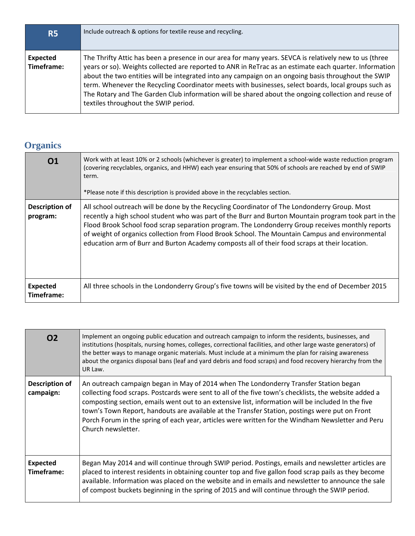| <b>R5</b>              | Include outreach & options for textile reuse and recycling.                                                                                                                                                                                                                                                                                                                                                                                                                                                                                                                   |
|------------------------|-------------------------------------------------------------------------------------------------------------------------------------------------------------------------------------------------------------------------------------------------------------------------------------------------------------------------------------------------------------------------------------------------------------------------------------------------------------------------------------------------------------------------------------------------------------------------------|
| Expected<br>Timeframe: | The Thrifty Attic has been a presence in our area for many years. SEVCA is relatively new to us (three<br>years or so). Weights collected are reported to ANR in ReTrac as an estimate each quarter. Information<br>about the two entities will be integrated into any campaign on an ongoing basis throughout the SWIP<br>term. Whenever the Recycling Coordinator meets with businesses, select boards, local groups such as<br>The Rotary and The Garden Club information will be shared about the ongoing collection and reuse of<br>textiles throughout the SWIP period. |

# **Organics**

| 01                                | Work with at least 10% or 2 schools (whichever is greater) to implement a school-wide waste reduction program<br>(covering recyclables, organics, and HHW) each year ensuring that 50% of schools are reached by end of SWIP<br>term.<br>*Please note if this description is provided above in the recyclables section.                                                                                                                                                                                      |
|-----------------------------------|--------------------------------------------------------------------------------------------------------------------------------------------------------------------------------------------------------------------------------------------------------------------------------------------------------------------------------------------------------------------------------------------------------------------------------------------------------------------------------------------------------------|
| <b>Description of</b><br>program: | All school outreach will be done by the Recycling Coordinator of The Londonderry Group. Most<br>recently a high school student who was part of the Burr and Burton Mountain program took part in the<br>Flood Brook School food scrap separation program. The Londonderry Group receives monthly reports<br>of weight of organics collection from Flood Brook School. The Mountain Campus and environmental<br>education arm of Burr and Burton Academy composts all of their food scraps at their location. |
| <b>Expected</b><br>Timeframe:     | All three schools in the Londonderry Group's five towns will be visited by the end of December 2015                                                                                                                                                                                                                                                                                                                                                                                                          |

| 02                            | Implement an ongoing public education and outreach campaign to inform the residents, businesses, and<br>institutions (hospitals, nursing homes, colleges, correctional facilities, and other large waste generators) of<br>the better ways to manage organic materials. Must include at a minimum the plan for raising awareness<br>about the organics disposal bans (leaf and yard debris and food scraps) and food recovery hierarchy from the<br>UR Law.                                                                       |
|-------------------------------|-----------------------------------------------------------------------------------------------------------------------------------------------------------------------------------------------------------------------------------------------------------------------------------------------------------------------------------------------------------------------------------------------------------------------------------------------------------------------------------------------------------------------------------|
| Description of<br>campaign:   | An outreach campaign began in May of 2014 when The Londonderry Transfer Station began<br>collecting food scraps. Postcards were sent to all of the five town's checklists, the website added a<br>composting section, emails went out to an extensive list, information will be included In the five<br>town's Town Report, handouts are available at the Transfer Station, postings were put on Front<br>Porch Forum in the spring of each year, articles were written for the Windham Newsletter and Peru<br>Church newsletter. |
| <b>Expected</b><br>Timeframe: | Began May 2014 and will continue through SWIP period. Postings, emails and newsletter articles are<br>placed to interest residents in obtaining counter top and five gallon food scrap pails as they become<br>available. Information was placed on the website and in emails and newsletter to announce the sale<br>of compost buckets beginning in the spring of 2015 and will continue through the SWIP period.                                                                                                                |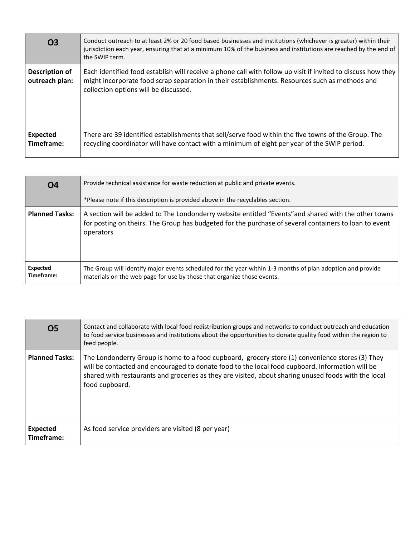| <b>O3</b>                        | Conduct outreach to at least 2% or 20 food based businesses and institutions (whichever is greater) within their<br>jurisdiction each year, ensuring that at a minimum 10% of the business and institutions are reached by the end of<br>the SWIP term. |
|----------------------------------|---------------------------------------------------------------------------------------------------------------------------------------------------------------------------------------------------------------------------------------------------------|
| Description of<br>outreach plan: | Each identified food establish will receive a phone call with follow up visit if invited to discuss how they<br>might incorporate food scrap separation in their establishments. Resources such as methods and<br>collection options will be discussed. |
| <b>Expected</b><br>Timeframe:    | There are 39 identified establishments that sell/serve food within the five towns of the Group. The<br>recycling coordinator will have contact with a minimum of eight per year of the SWIP period.                                                     |

| <b>O4</b>              | Provide technical assistance for waste reduction at public and private events.                                                                                                                                             |
|------------------------|----------------------------------------------------------------------------------------------------------------------------------------------------------------------------------------------------------------------------|
|                        | *Please note if this description is provided above in the recyclables section.                                                                                                                                             |
| <b>Planned Tasks:</b>  | A section will be added to The Londonderry website entitled "Events" and shared with the other towns<br>for posting on theirs. The Group has budgeted for the purchase of several containers to loan to event<br>operators |
| Expected<br>Timeframe: | The Group will identify major events scheduled for the year within 1-3 months of plan adoption and provide<br>materials on the web page for use by those that organize those events.                                       |

| 05                            | Contact and collaborate with local food redistribution groups and networks to conduct outreach and education<br>to food service businesses and institutions about the opportunities to donate quality food within the region to<br>feed people.                                                                              |
|-------------------------------|------------------------------------------------------------------------------------------------------------------------------------------------------------------------------------------------------------------------------------------------------------------------------------------------------------------------------|
| <b>Planned Tasks:</b>         | The Londonderry Group is home to a food cupboard, grocery store (1) convenience stores (3) They<br>will be contacted and encouraged to donate food to the local food cupboard. Information will be<br>shared with restaurants and groceries as they are visited, about sharing unused foods with the local<br>food cupboard. |
| <b>Expected</b><br>Timeframe: | As food service providers are visited (8 per year)                                                                                                                                                                                                                                                                           |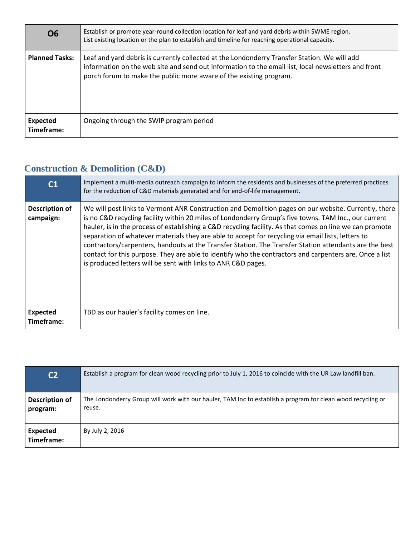| <b>O6</b>              | Establish or promote year-round collection location for leaf and yard debris within SWME region.<br>List existing location or the plan to establish and timeline for reaching operational capacity.                                                                       |
|------------------------|---------------------------------------------------------------------------------------------------------------------------------------------------------------------------------------------------------------------------------------------------------------------------|
| <b>Planned Tasks:</b>  | Leaf and yard debris is currently collected at the Londonderry Transfer Station. We will add<br>information on the web site and send out information to the email list, local newsletters and front<br>porch forum to make the public more aware of the existing program. |
| Expected<br>Timeframe: | Ongoing through the SWIP program period                                                                                                                                                                                                                                   |

### **Construction & Demolition (C&D)**

| C1                            | Implement a multi-media outreach campaign to inform the residents and businesses of the preferred practices<br>for the reduction of C&D materials generated and for end-of-life management.                                                                                                                                                                                                                                                                                                                                                                                                                                                                                                                           |
|-------------------------------|-----------------------------------------------------------------------------------------------------------------------------------------------------------------------------------------------------------------------------------------------------------------------------------------------------------------------------------------------------------------------------------------------------------------------------------------------------------------------------------------------------------------------------------------------------------------------------------------------------------------------------------------------------------------------------------------------------------------------|
| Description of<br>campaign:   | We will post links to Vermont ANR Construction and Demolition pages on our website. Currently, there<br>is no C&D recycling facility within 20 miles of Londonderry Group's five towns. TAM Inc., our current<br>hauler, is in the process of establishing a C&D recycling facility. As that comes on line we can promote<br>separation of whatever materials they are able to accept for recycling via email lists, letters to<br>contractors/carpenters, handouts at the Transfer Station. The Transfer Station attendants are the best<br>contact for this purpose. They are able to identify who the contractors and carpenters are. Once a list<br>is produced letters will be sent with links to ANR C&D pages. |
| <b>Expected</b><br>Timeframe: | TBD as our hauler's facility comes on line.                                                                                                                                                                                                                                                                                                                                                                                                                                                                                                                                                                                                                                                                           |

| C <sub>2</sub>                    | Establish a program for clean wood recycling prior to July 1, 2016 to coincide with the UR Law landfill ban.          |
|-----------------------------------|-----------------------------------------------------------------------------------------------------------------------|
| <b>Description of</b><br>program: | The Londonderry Group will work with our hauler, TAM Inc to establish a program for clean wood recycling or<br>reuse. |
| <b>Expected</b><br>Timeframe:     | By July 2, 2016                                                                                                       |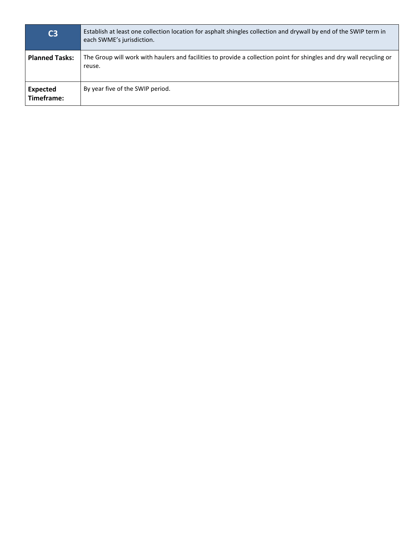| C <sub>3</sub>                | Establish at least one collection location for asphalt shingles collection and drywall by end of the SWIP term in<br>each SWME's jurisdiction. |
|-------------------------------|------------------------------------------------------------------------------------------------------------------------------------------------|
| <b>Planned Tasks:</b>         | The Group will work with haulers and facilities to provide a collection point for shingles and dry wall recycling or<br>reuse.                 |
| <b>Expected</b><br>Timeframe: | By year five of the SWIP period.                                                                                                               |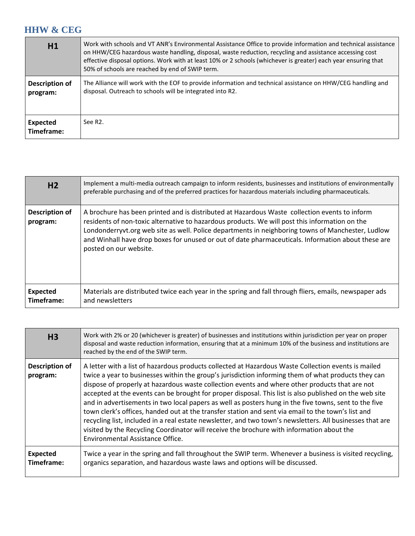#### **HHW & CEG**

| H1                         | Work with schools and VT ANR's Environmental Assistance Office to provide information and technical assistance<br>on HHW/CEG hazardous waste handling, disposal, waste reduction, recycling and assistance accessing cost<br>effective disposal options. Work with at least 10% or 2 schools (whichever is greater) each year ensuring that<br>50% of schools are reached by end of SWIP term. |
|----------------------------|------------------------------------------------------------------------------------------------------------------------------------------------------------------------------------------------------------------------------------------------------------------------------------------------------------------------------------------------------------------------------------------------|
| Description of<br>program: | The Alliance will work with the EOF to provide information and technical assistance on HHW/CEG handling and<br>disposal. Outreach to schools will be integrated into R2.                                                                                                                                                                                                                       |
| Expected<br>Timeframe:     | See R <sub>2</sub> .                                                                                                                                                                                                                                                                                                                                                                           |

| H <sub>2</sub>                | Implement a multi-media outreach campaign to inform residents, businesses and institutions of environmentally<br>preferable purchasing and of the preferred practices for hazardous materials including pharmaceuticals.                                                                                                                                                                                                             |
|-------------------------------|--------------------------------------------------------------------------------------------------------------------------------------------------------------------------------------------------------------------------------------------------------------------------------------------------------------------------------------------------------------------------------------------------------------------------------------|
| Description of<br>program:    | A brochure has been printed and is distributed at Hazardous Waste collection events to inform<br>residents of non-toxic alternative to hazardous products. We will post this information on the<br>Londonderryvt.org web site as well. Police departments in neighboring towns of Manchester, Ludlow<br>and Winhall have drop boxes for unused or out of date pharmaceuticals. Information about these are<br>posted on our website. |
| <b>Expected</b><br>Timeframe: | Materials are distributed twice each year in the spring and fall through fliers, emails, newspaper ads<br>and newsletters                                                                                                                                                                                                                                                                                                            |

| H <sub>3</sub>                | Work with 2% or 20 (whichever is greater) of businesses and institutions within jurisdiction per year on proper<br>disposal and waste reduction information, ensuring that at a minimum 10% of the business and institutions are<br>reached by the end of the SWIP term.                                                                                                                                                                                                                                                                                                                                                                                                                                                                                                                                                                                                            |
|-------------------------------|-------------------------------------------------------------------------------------------------------------------------------------------------------------------------------------------------------------------------------------------------------------------------------------------------------------------------------------------------------------------------------------------------------------------------------------------------------------------------------------------------------------------------------------------------------------------------------------------------------------------------------------------------------------------------------------------------------------------------------------------------------------------------------------------------------------------------------------------------------------------------------------|
| Description of<br>program:    | A letter with a list of hazardous products collected at Hazardous Waste Collection events is mailed<br>twice a year to businesses within the group's jurisdiction informing them of what products they can<br>dispose of properly at hazardous waste collection events and where other products that are not<br>accepted at the events can be brought for proper disposal. This list is also published on the web site<br>and in advertisements in two local papers as well as posters hung in the five towns, sent to the five<br>town clerk's offices, handed out at the transfer station and sent via email to the town's list and<br>recycling list, included in a real estate newsletter, and two town's newsletters. All businesses that are<br>visited by the Recycling Coordinator will receive the brochure with information about the<br>Environmental Assistance Office. |
| <b>Expected</b><br>Timeframe: | Twice a year in the spring and fall throughout the SWIP term. Whenever a business is visited recycling,<br>organics separation, and hazardous waste laws and options will be discussed.                                                                                                                                                                                                                                                                                                                                                                                                                                                                                                                                                                                                                                                                                             |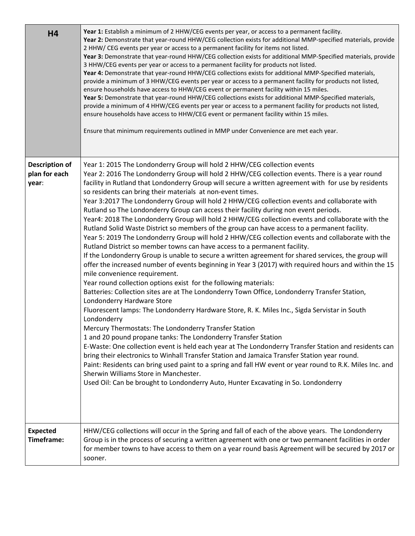| <b>H4</b>                                       | Year 1: Establish a minimum of 2 HHW/CEG events per year, or access to a permanent facility.<br>Year 2: Demonstrate that year-round HHW/CEG collection exists for additional MMP-specified materials, provide<br>2 HHW/CEG events per year or access to a permanent facility for items not listed.<br>Year 3: Demonstrate that year-round HHW/CEG collection exists for additional MMP-Specified materials, provide<br>3 HHW/CEG events per year or access to a permanent facility for products not listed.<br>Year 4: Demonstrate that year-round HHW/CEG collections exists for additional MMP-Specified materials,<br>provide a minimum of 3 HHW/CEG events per year or access to a permanent facility for products not listed,<br>ensure households have access to HHW/CEG event or permanent facility within 15 miles.<br>Year 5: Demonstrate that year-round HHW/CEG collections exists for additional MMP-Specified materials,<br>provide a minimum of 4 HHW/CEG events per year or access to a permanent facility for products not listed,<br>ensure households have access to HHW/CEG event or permanent facility within 15 miles.<br>Ensure that minimum requirements outlined in MMP under Convenience are met each year.                                                                                                                                                                                                                                                                                                                                                                                                                                                                                                                                                                                                                                                                                                                                                                                                                                                 |
|-------------------------------------------------|--------------------------------------------------------------------------------------------------------------------------------------------------------------------------------------------------------------------------------------------------------------------------------------------------------------------------------------------------------------------------------------------------------------------------------------------------------------------------------------------------------------------------------------------------------------------------------------------------------------------------------------------------------------------------------------------------------------------------------------------------------------------------------------------------------------------------------------------------------------------------------------------------------------------------------------------------------------------------------------------------------------------------------------------------------------------------------------------------------------------------------------------------------------------------------------------------------------------------------------------------------------------------------------------------------------------------------------------------------------------------------------------------------------------------------------------------------------------------------------------------------------------------------------------------------------------------------------------------------------------------------------------------------------------------------------------------------------------------------------------------------------------------------------------------------------------------------------------------------------------------------------------------------------------------------------------------------------------------------------------------------------------------------------------------------------------------------------|
| <b>Description of</b><br>plan for each<br>year: | Year 1: 2015 The Londonderry Group will hold 2 HHW/CEG collection events<br>Year 2: 2016 The Londonderry Group will hold 2 HHW/CEG collection events. There is a year round<br>facility in Rutland that Londonderry Group will secure a written agreement with for use by residents<br>so residents can bring their materials at non-event times.<br>Year 3:2017 The Londonderry Group will hold 2 HHW/CEG collection events and collaborate with<br>Rutland so The Londonderry Group can access their facility during non event periods.<br>Year4: 2018 The Londonderry Group will hold 2 HHW/CEG collection events and collaborate with the<br>Rutland Solid Waste District so members of the group can have access to a permanent facility.<br>Year 5: 2019 The Londonderry Group will hold 2 HHW/CEG collection events and collaborate with the<br>Rutland District so member towns can have access to a permanent facility.<br>If the Londonderry Group is unable to secure a written agreement for shared services, the group will<br>offer the increased number of events beginning in Year 3 (2017) with required hours and within the 15<br>mile convenience requirement.<br>Year round collection options exist for the following materials:<br>Batteries: Collection sites are at The Londonderry Town Office, Londonderry Transfer Station,<br>Londonderry Hardware Store<br>Fluorescent lamps: The Londonderry Hardware Store, R. K. Miles Inc., Sigda Servistar in South<br>Londonderry<br>Mercury Thermostats: The Londonderry Transfer Station<br>1 and 20 pound propane tanks: The Londonderry Transfer Station<br>E-Waste: One collection event is held each year at The Londonderry Transfer Station and residents can<br>bring their electronics to Winhall Transfer Station and Jamaica Transfer Station year round.<br>Paint: Residents can bring used paint to a spring and fall HW event or year round to R.K. Miles Inc. and<br>Sherwin Williams Store in Manchester.<br>Used Oil: Can be brought to Londonderry Auto, Hunter Excavating in So. Londonderry |
| <b>Expected</b><br>Timeframe:                   | HHW/CEG collections will occur in the Spring and fall of each of the above years. The Londonderry<br>Group is in the process of securing a written agreement with one or two permanent facilities in order<br>for member towns to have access to them on a year round basis Agreement will be secured by 2017 or<br>sooner.                                                                                                                                                                                                                                                                                                                                                                                                                                                                                                                                                                                                                                                                                                                                                                                                                                                                                                                                                                                                                                                                                                                                                                                                                                                                                                                                                                                                                                                                                                                                                                                                                                                                                                                                                          |